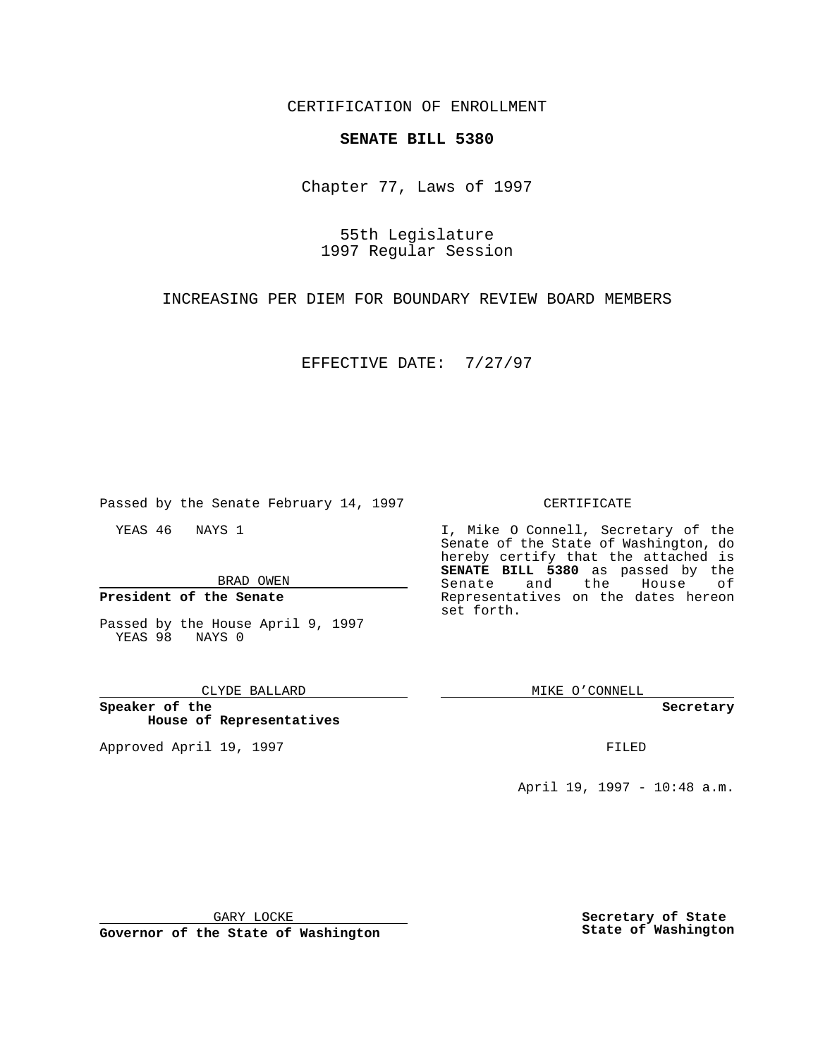CERTIFICATION OF ENROLLMENT

## **SENATE BILL 5380**

Chapter 77, Laws of 1997

55th Legislature 1997 Regular Session

INCREASING PER DIEM FOR BOUNDARY REVIEW BOARD MEMBERS

EFFECTIVE DATE: 7/27/97

Passed by the Senate February 14, 1997

YEAS 46 NAYS 1

BRAD OWEN

**President of the Senate**

Passed by the House April 9, 1997 YEAS 98 NAYS 0

### CLYDE BALLARD

**Speaker of the House of Representatives**

Approved April 19, 1997 **FILED** 

### CERTIFICATE

I, Mike O Connell, Secretary of the Senate of the State of Washington, do hereby certify that the attached is **SENATE BILL 5380** as passed by the Senate and the House of Representatives on the dates hereon set forth.

MIKE O'CONNELL

#### **Secretary**

April 19, 1997 - 10:48 a.m.

GARY LOCKE

**Governor of the State of Washington**

**Secretary of State State of Washington**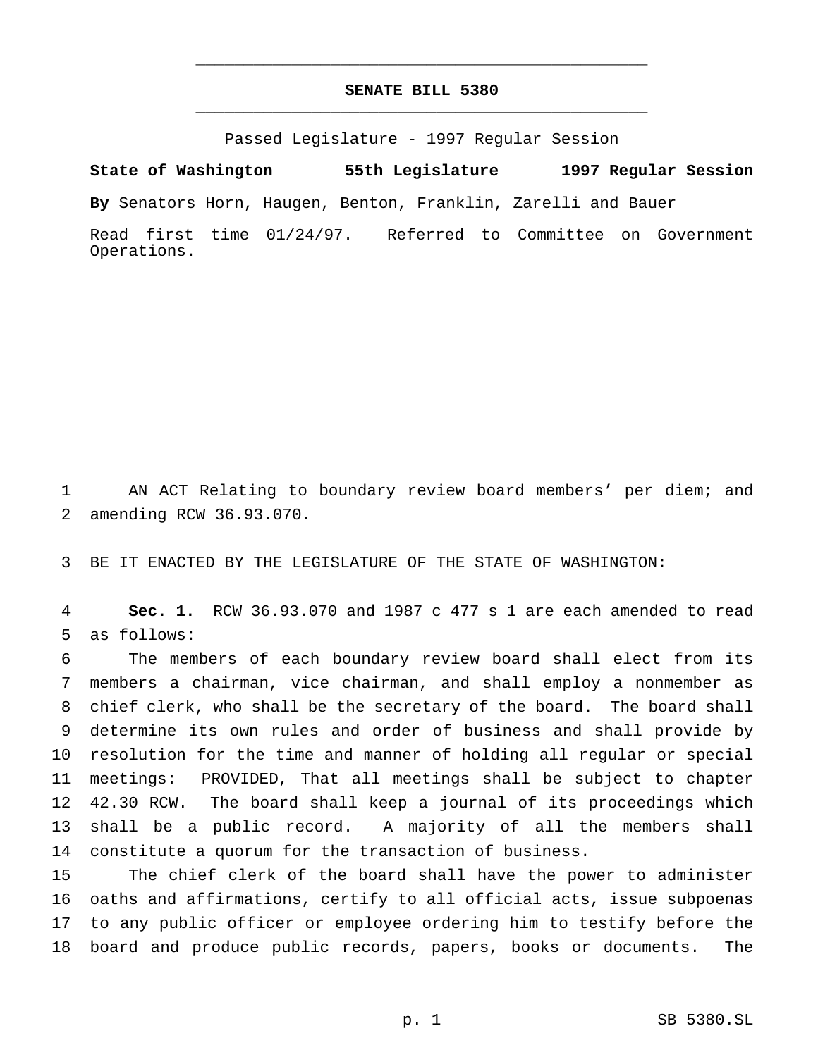# **SENATE BILL 5380** \_\_\_\_\_\_\_\_\_\_\_\_\_\_\_\_\_\_\_\_\_\_\_\_\_\_\_\_\_\_\_\_\_\_\_\_\_\_\_\_\_\_\_\_\_\_\_

\_\_\_\_\_\_\_\_\_\_\_\_\_\_\_\_\_\_\_\_\_\_\_\_\_\_\_\_\_\_\_\_\_\_\_\_\_\_\_\_\_\_\_\_\_\_\_

Passed Legislature - 1997 Regular Session

**State of Washington 55th Legislature 1997 Regular Session**

**By** Senators Horn, Haugen, Benton, Franklin, Zarelli and Bauer

Read first time 01/24/97. Referred to Committee on Government Operations.

 AN ACT Relating to boundary review board members' per diem; and amending RCW 36.93.070.

BE IT ENACTED BY THE LEGISLATURE OF THE STATE OF WASHINGTON:

 **Sec. 1.** RCW 36.93.070 and 1987 c 477 s 1 are each amended to read as follows:

 The members of each boundary review board shall elect from its members a chairman, vice chairman, and shall employ a nonmember as chief clerk, who shall be the secretary of the board. The board shall determine its own rules and order of business and shall provide by resolution for the time and manner of holding all regular or special meetings: PROVIDED, That all meetings shall be subject to chapter 42.30 RCW. The board shall keep a journal of its proceedings which shall be a public record. A majority of all the members shall constitute a quorum for the transaction of business.

 The chief clerk of the board shall have the power to administer oaths and affirmations, certify to all official acts, issue subpoenas to any public officer or employee ordering him to testify before the board and produce public records, papers, books or documents. The